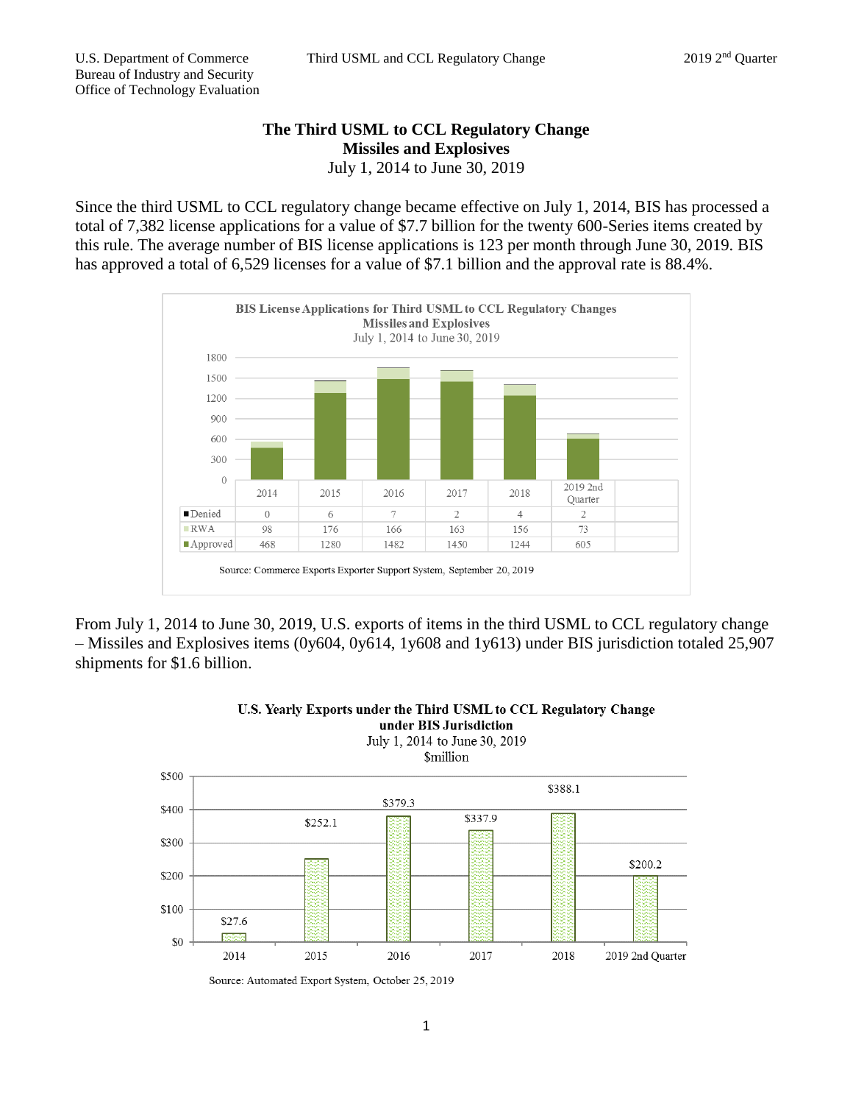## **The Third USML to CCL Regulatory Change Missiles and Explosives** July 1, 2014 to June 30, 2019

Since the third USML to CCL regulatory change became effective on July 1, 2014, BIS has processed a total of 7,382 license applications for a value of \$7.7 billion for the twenty 600-Series items created by this rule. The average number of BIS license applications is 123 per month through June 30, 2019. BIS has approved a total of 6,529 licenses for a value of \$7.1 billion and the approval rate is 88.4%.



From July 1, 2014 to June 30, 2019, U.S. exports of items in the third USML to CCL regulatory change – Missiles and Explosives items (0y604, 0y614, 1y608 and 1y613) under BIS jurisdiction totaled 25,907 shipments for \$1.6 billion.



## U.S. Yearly Exports under the Third USML to CCL Regulatory Change under BIS Jurisdiction

Source: Automated Export System, October 25, 2019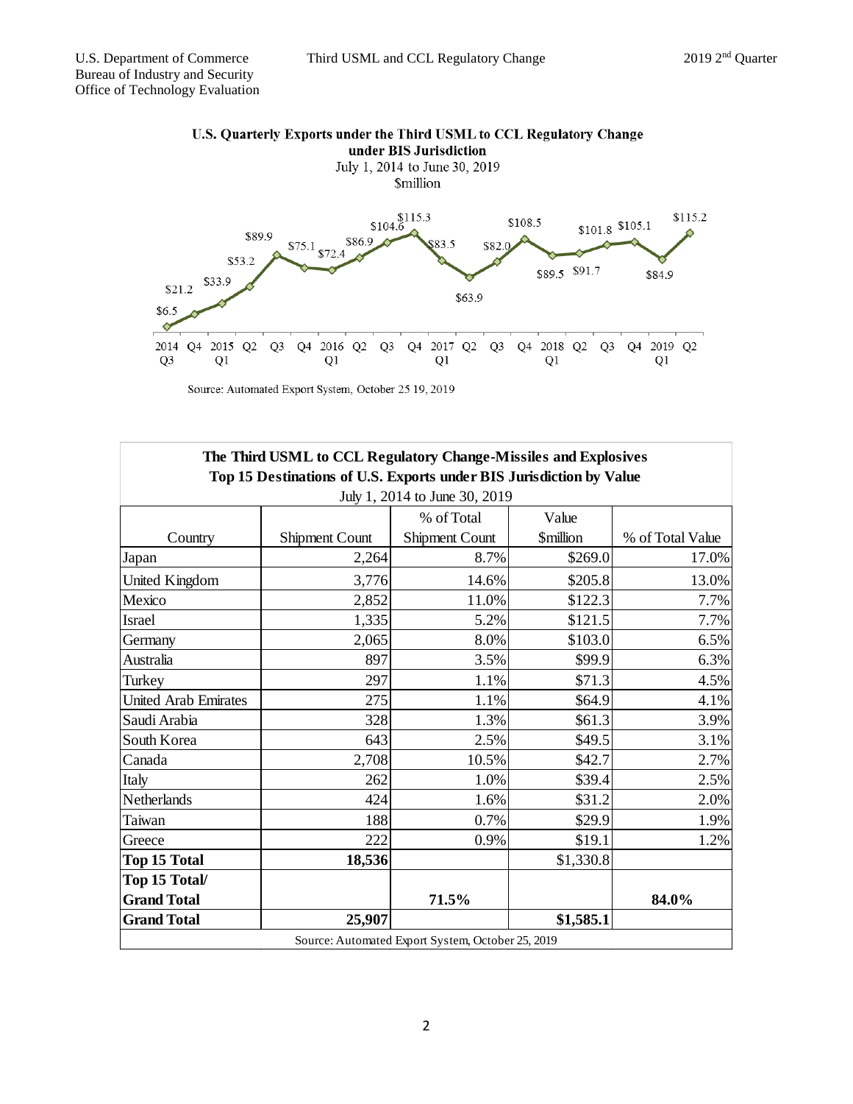

Source: Automated Export System, October 25 19, 2019

|                                                                     | The Third USML to CCL Regulatory Change-Missiles and Explosives |                                                   |                               |                  |
|---------------------------------------------------------------------|-----------------------------------------------------------------|---------------------------------------------------|-------------------------------|------------------|
| Top 15 Destinations of U.S. Exports under BIS Jurisdiction by Value |                                                                 |                                                   |                               |                  |
| July 1, 2014 to June 30, 2019                                       |                                                                 |                                                   |                               |                  |
|                                                                     |                                                                 | % of Total                                        | Value                         |                  |
| Country                                                             | <b>Shipment Count</b>                                           | Shipment Count                                    | <b><i><u>Smillion</u></i></b> | % of Total Value |
| Japan                                                               | 2,264                                                           | 8.7%                                              | \$269.0                       | 17.0%            |
| United Kingdom                                                      | 3,776                                                           | 14.6%                                             | \$205.8                       | 13.0%            |
| Mexico                                                              | 2,852                                                           | 11.0%                                             | \$122.3                       | 7.7%             |
| Israel                                                              | 1,335                                                           | 5.2%                                              | \$121.5                       | 7.7%             |
| Germany                                                             | 2,065                                                           | 8.0%                                              | \$103.0                       | 6.5%             |
| Australia                                                           | 897                                                             | 3.5%                                              | \$99.9                        | 6.3%             |
| Turkey                                                              | 297                                                             | 1.1%                                              | \$71.3                        | 4.5%             |
| <b>United Arab Emirates</b>                                         | 275                                                             | 1.1%                                              | \$64.9                        | 4.1%             |
| Saudi Arabia                                                        | 328                                                             | 1.3%                                              | \$61.3                        | 3.9%             |
| South Korea                                                         | 643                                                             | 2.5%                                              | \$49.5                        | 3.1%             |
| Canada                                                              | 2,708                                                           | 10.5%                                             | \$42.7                        | 2.7%             |
| Italy                                                               | 262                                                             | 1.0%                                              | \$39.4                        | 2.5%             |
| Netherlands                                                         | 424                                                             | 1.6%                                              | \$31.2                        | 2.0%             |
| Taiwan                                                              | 188                                                             | 0.7%                                              | \$29.9                        | 1.9%             |
| Greece                                                              | 222                                                             | 0.9%                                              | \$19.1                        | 1.2%             |
| Top 15 Total                                                        | 18,536                                                          |                                                   | \$1,330.8                     |                  |
| Top 15 Total/                                                       |                                                                 |                                                   |                               |                  |
| <b>Grand Total</b>                                                  |                                                                 | 71.5%                                             |                               | 84.0%            |
| <b>Grand Total</b>                                                  | 25,907                                                          |                                                   | \$1,585.1                     |                  |
|                                                                     |                                                                 | Source: Automated Export System, October 25, 2019 |                               |                  |